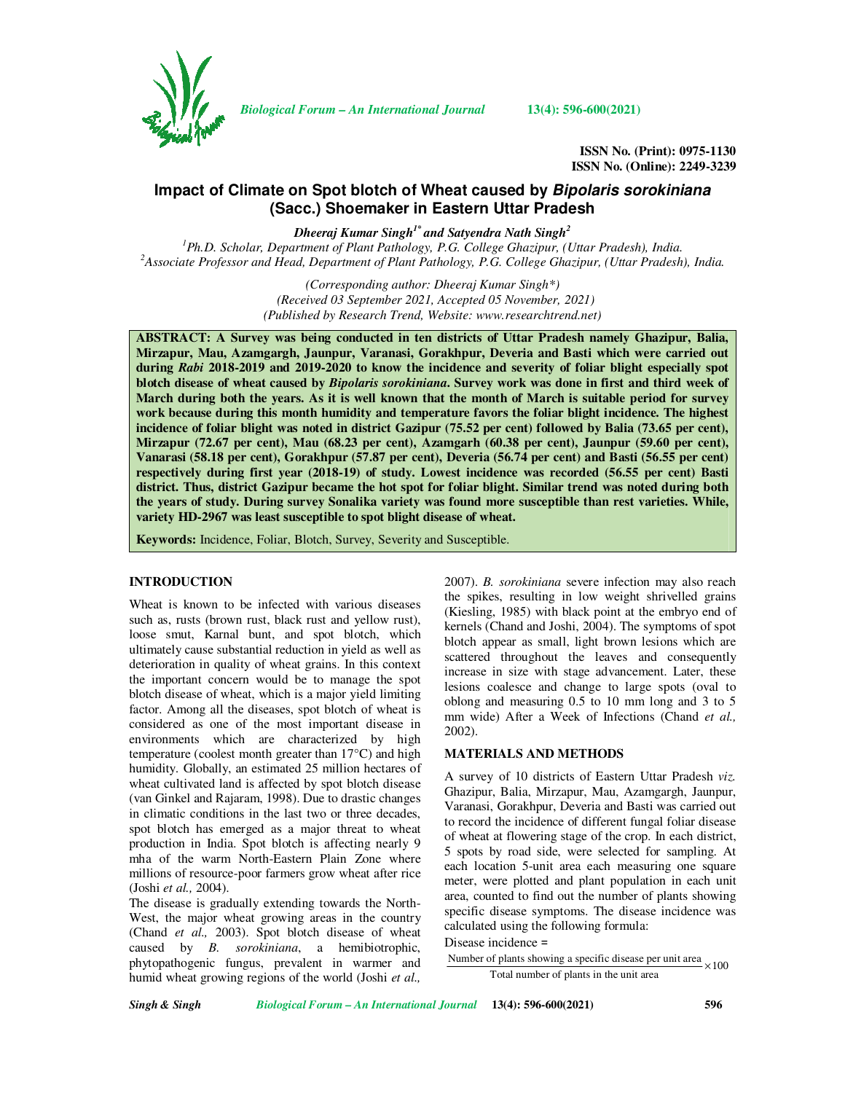

*Biological Forum – An International Journal* **13(4): 596-600(2021)**

**ISSN No. (Print): 0975-1130 ISSN No. (Online): 2249-3239** 

# **Impact of Climate on Spot blotch of Wheat caused by Bipolaris sorokiniana (Sacc.) Shoemaker in Eastern Uttar Pradesh**

*Dheeraj Kumar Singh1\* and Satyendra Nath Singh<sup>2</sup>*

*<sup>1</sup>Ph.D. Scholar, Department of Plant Pathology, P.G. College Ghazipur, (Uttar Pradesh), India. <sup>2</sup>Associate Professor and Head, Department of Plant Pathology, P.G. College Ghazipur, (Uttar Pradesh), India.* 

> *(Corresponding author: Dheeraj Kumar Singh\*) (Received 03 September 2021, Accepted 05 November, 2021) (Published by Research Trend, Website: www.researchtrend.net)*

**ABSTRACT: A Survey was being conducted in ten districts of Uttar Pradesh namely Ghazipur, Balia, Mirzapur, Mau, Azamgargh, Jaunpur, Varanasi, Gorakhpur, Deveria and Basti which were carried out during** *Rabi* **2018-2019 and 2019-2020 to know the incidence and severity of foliar blight especially spot blotch disease of wheat caused by** *Bipolaris sorokiniana***. Survey work was done in first and third week of March during both the years. As it is well known that the month of March is suitable period for survey work because during this month humidity and temperature favors the foliar blight incidence. The highest incidence of foliar blight was noted in district Gazipur (75.52 per cent) followed by Balia (73.65 per cent), Mirzapur (72.67 per cent), Mau (68.23 per cent), Azamgarh (60.38 per cent), Jaunpur (59.60 per cent), Vanarasi (58.18 per cent), Gorakhpur (57.87 per cent), Deveria (56.74 per cent) and Basti (56.55 per cent) respectively during first year (2018-19) of study. Lowest incidence was recorded (56.55 per cent) Basti district. Thus, district Gazipur became the hot spot for foliar blight. Similar trend was noted during both the years of study. During survey Sonalika variety was found more susceptible than rest varieties. While, variety HD-2967 was least susceptible to spot blight disease of wheat.** 

**Keywords:** Incidence, Foliar, Blotch, Survey, Severity and Susceptible.

### **INTRODUCTION**

Wheat is known to be infected with various diseases such as, rusts (brown rust, black rust and yellow rust), loose smut, Karnal bunt, and spot blotch, which ultimately cause substantial reduction in yield as well as deterioration in quality of wheat grains. In this context the important concern would be to manage the spot blotch disease of wheat, which is a major yield limiting factor. Among all the diseases, spot blotch of wheat is considered as one of the most important disease in environments which are characterized by high temperature (coolest month greater than 17°C) and high humidity. Globally, an estimated 25 million hectares of wheat cultivated land is affected by spot blotch disease (van Ginkel and Rajaram, 1998). Due to drastic changes in climatic conditions in the last two or three decades, spot blotch has emerged as a major threat to wheat production in India. Spot blotch is affecting nearly 9 mha of the warm North-Eastern Plain Zone where millions of resource-poor farmers grow wheat after rice (Joshi *et al.,* 2004).

The disease is gradually extending towards the North-West, the major wheat growing areas in the country (Chand *et al.,* 2003). Spot blotch disease of wheat caused by *B. sorokiniana*, a hemibiotrophic, phytopathogenic fungus, prevalent in warmer and humid wheat growing regions of the world (Joshi *et al.,* 2007). *B. sorokiniana* severe infection may also reach the spikes, resulting in low weight shrivelled grains (Kiesling, 1985) with black point at the embryo end of kernels (Chand and Joshi, 2004). The symptoms of spot blotch appear as small, light brown lesions which are scattered throughout the leaves and consequently increase in size with stage advancement. Later, these lesions coalesce and change to large spots (oval to oblong and measuring 0.5 to 10 mm long and 3 to 5 mm wide) After a Week of Infections (Chand *et al.,* 2002).

## **MATERIALS AND METHODS**

A survey of 10 districts of Eastern Uttar Pradesh *viz.* Ghazipur, Balia, Mirzapur, Mau, Azamgargh, Jaunpur, Varanasi, Gorakhpur, Deveria and Basti was carried out to record the incidence of different fungal foliar disease of wheat at flowering stage of the crop. In each district, 5 spots by road side, were selected for sampling. At each location 5-unit area each measuring one square meter, were plotted and plant population in each unit area, counted to find out the number of plants showing specific disease symptoms. The disease incidence was calculated using the following formula:

## Disease incidence =

Number of plants showing a specific disease per unit area  $\times 100$ Total number of plants in the unit area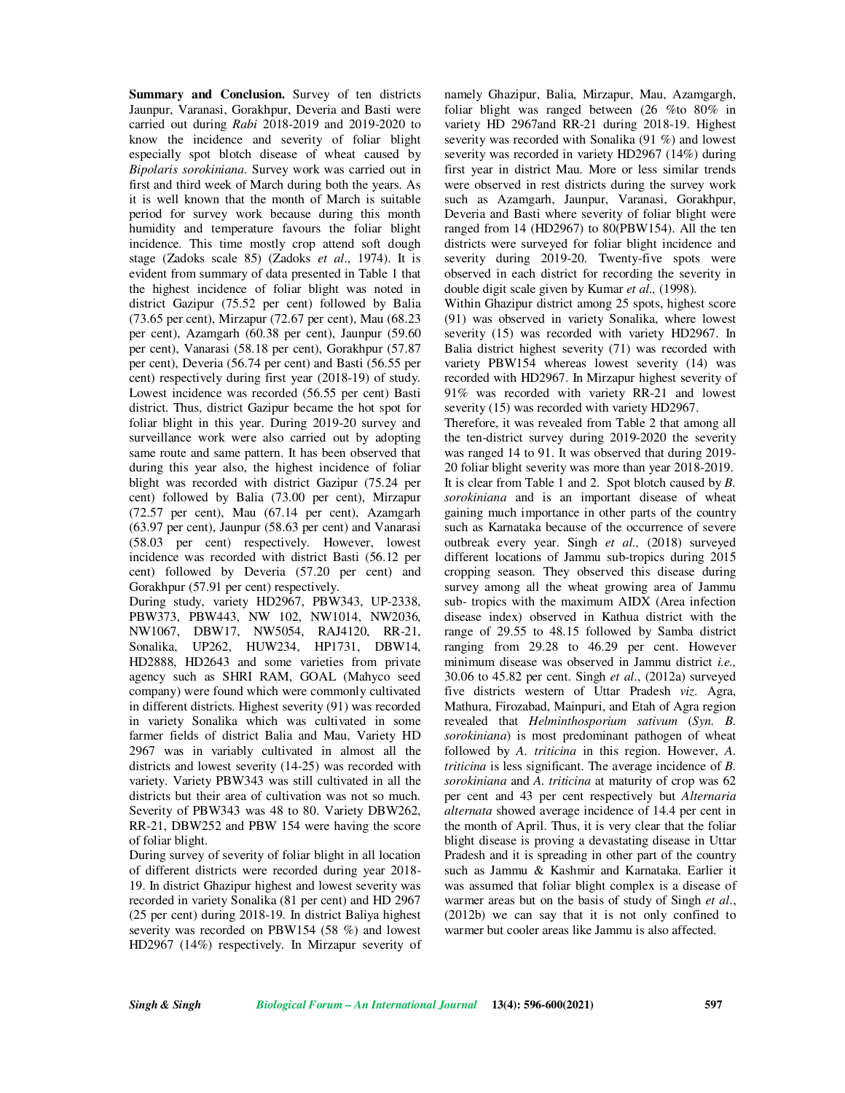Jaunpur, Varanasi, Gorakhpur, Deveria and Basti were carried out during *Rabi* 2018-2019 and 2019-2020 to know the incidence and severity of foliar blight especially spot blotch disease of wheat caused by *Bipolaris sorokiniana*. Survey work was carried out in first and third week of March during both the years. As it is well known that the month of March is suitable period for survey work because during this month humidity and temperature favours the foliar blight incidence. This time mostly crop attend soft dough stage (Zadoks scale 85) (Zadoks *et al*., 1974). It is evident from summary of data presented in Table 1 that the highest incidence of foliar blight was noted in district Gazipur (75.52 per cent) followed by Balia (73.65 per cent), Mirzapur (72.67 per cent), Mau (68.23 per cent), Azamgarh (60.38 per cent), Jaunpur (59.60 per cent), Vanarasi (58.18 per cent), Gorakhpur (57.87 per cent), Deveria (56.74 per cent) and Basti (56.55 per cent) respectively during first year (2018-19) of study. Lowest incidence was recorded (56.55 per cent) Basti district. Thus, district Gazipur became the hot spot for foliar blight in this year. During 2019-20 survey and surveillance work were also carried out by adopting same route and same pattern. It has been observed that during this year also, the highest incidence of foliar blight was recorded with district Gazipur (75.24 per cent) followed by Balia (73.00 per cent), Mirzapur (72.57 per cent), Mau (67.14 per cent), Azamgarh (63.97 per cent), Jaunpur (58.63 per cent) and Vanarasi (58.03 per cent) respectively. However, lowest incidence was recorded with district Basti (56.12 per cent) followed by Deveria (57.20 per cent) and Gorakhpur (57.91 per cent) respectively.

During study, variety HD2967, PBW343, UP-2338, PBW373, PBW443, NW 102, NW1014, NW2036, NW1067, DBW17, NW5054, RAJ4120, RR-21, Sonalika, UP262, HUW234, HP1731, DBW14, HD2888, HD2643 and some varieties from private agency such as SHRI RAM, GOAL (Mahyco seed company) were found which were commonly cultivated in different districts. Highest severity (91) was recorded in variety Sonalika which was cultivated in some farmer fields of district Balia and Mau, Variety HD 2967 was in variably cultivated in almost all the districts and lowest severity (14-25) was recorded with variety. Variety PBW343 was still cultivated in all the districts but their area of cultivation was not so much. Severity of PBW343 was 48 to 80. Variety DBW262, RR-21, DBW252 and PBW 154 were having the score of foliar blight.

During survey of severity of foliar blight in all location of different districts were recorded during year 2018- 19. In district Ghazipur highest and lowest severity was recorded in variety Sonalika (81 per cent) and HD 2967 (25 per cent) during 2018-19. In district Baliya highest severity was recorded on PBW154 (58 %) and lowest HD2967 (14%) respectively. In Mirzapur severity of

**Summary and Conclusion.** Survey of ten districts namely Ghazipur, Balia, Mirzapur, Mau, Azamgargh, foliar blight was ranged between (26 %to 80% in variety HD 2967and RR-21 during 2018-19. Highest severity was recorded with Sonalika (91 %) and lowest severity was recorded in variety HD2967 (14%) during first year in district Mau. More or less similar trends were observed in rest districts during the survey work such as Azamgarh, Jaunpur, Varanasi, Gorakhpur, Deveria and Basti where severity of foliar blight were ranged from 14 (HD2967) to 80(PBW154). All the ten districts were surveyed for foliar blight incidence and severity during 2019-20. Twenty-five spots were observed in each district for recording the severity in double digit scale given by Kumar *et al.,* (1998).

> Within Ghazipur district among 25 spots, highest score (91) was observed in variety Sonalika, where lowest severity (15) was recorded with variety HD2967. In Balia district highest severity (71) was recorded with variety PBW154 whereas lowest severity (14) was recorded with HD2967. In Mirzapur highest severity of 91% was recorded with variety RR-21 and lowest severity (15) was recorded with variety HD2967.

> Therefore, it was revealed from Table 2 that among all the ten-district survey during 2019-2020 the severity was ranged 14 to 91. It was observed that during 2019- 20 foliar blight severity was more than year 2018-2019. It is clear from Table 1 and 2. Spot blotch caused by *B. sorokiniana* and is an important disease of wheat gaining much importance in other parts of the country such as Karnataka because of the occurrence of severe outbreak every year. Singh *et al.,* (2018) surveyed different locations of Jammu sub-tropics during 2015 cropping season. They observed this disease during survey among all the wheat growing area of Jammu sub- tropics with the maximum AIDX (Area infection disease index) observed in Kathua district with the range of 29.55 to 48.15 followed by Samba district ranging from 29.28 to 46.29 per cent. However minimum disease was observed in Jammu district *i.e.,*  30.06 to 45.82 per cent. Singh *et al*., (2012a) surveyed five districts western of Uttar Pradesh *viz*. Agra, Mathura, Firozabad, Mainpuri, and Etah of Agra region revealed that *Helminthosporium sativum* (*Syn. B. sorokiniana*) is most predominant pathogen of wheat followed by *A. triticina* in this region. However, *A. triticina* is less significant. The average incidence of *B. sorokiniana* and *A. triticina* at maturity of crop was 62 per cent and 43 per cent respectively but *Alternaria alternata* showed average incidence of 14.4 per cent in the month of April. Thus, it is very clear that the foliar blight disease is proving a devastating disease in Uttar Pradesh and it is spreading in other part of the country such as Jammu & Kashmir and Karnataka. Earlier it was assumed that foliar blight complex is a disease of warmer areas but on the basis of study of Singh *et al*., (2012b) we can say that it is not only confined to warmer but cooler areas like Jammu is also affected.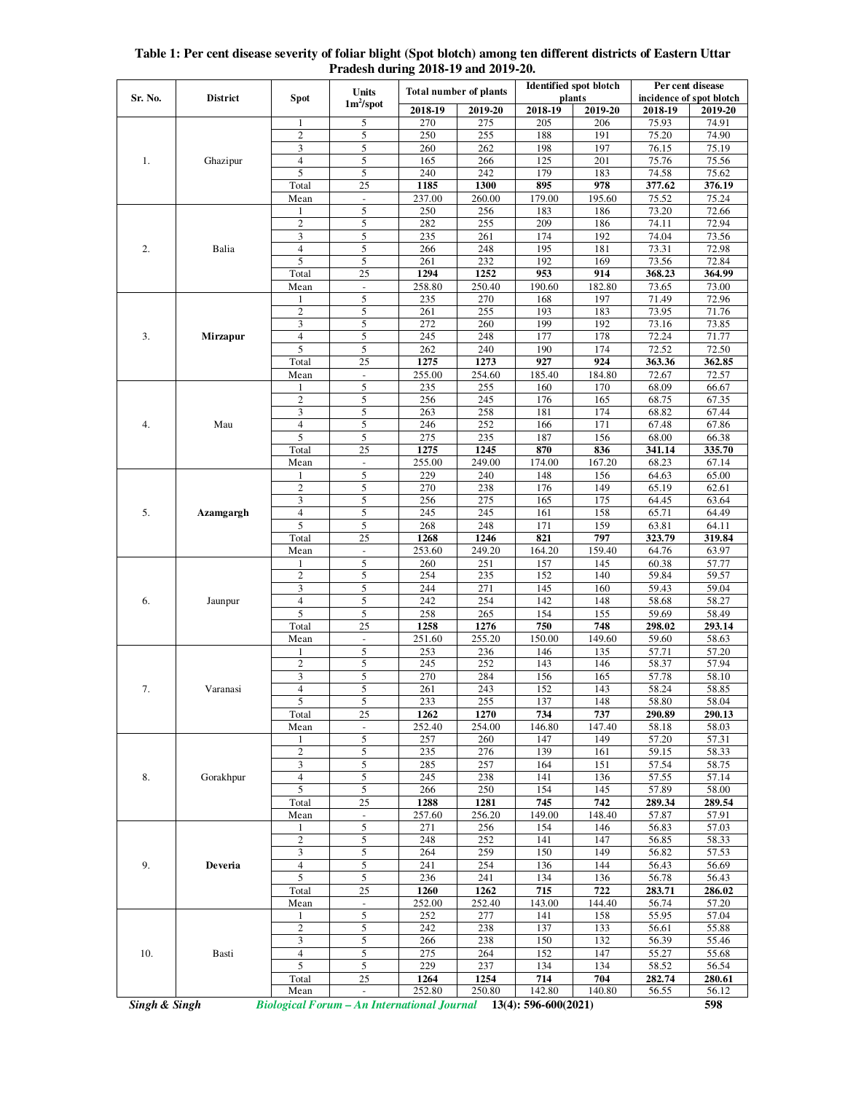| Table 1: Per cent disease severity of foliar blight (Spot blotch) among ten different districts of Eastern Uttar |  |  |  |  |  |  |  |  |
|------------------------------------------------------------------------------------------------------------------|--|--|--|--|--|--|--|--|
| Pradesh during 2018-19 and 2019-20.                                                                              |  |  |  |  |  |  |  |  |

| Sr. No. | <b>District</b> | <b>Spot</b>              | Units<br>$1m^2$ /spot         | <b>Total number of plants</b> |               | <b>Identified spot blotch</b><br>plants |               | Per cent disease<br>incidence of spot blotch |                 |
|---------|-----------------|--------------------------|-------------------------------|-------------------------------|---------------|-----------------------------------------|---------------|----------------------------------------------|-----------------|
|         |                 |                          |                               | 2018-19                       | 2019-20       | 2018-19                                 | 2019-20       | 2018-19                                      | 2019-20         |
|         |                 | 1                        | 5                             | 270                           | 275           | 205                                     | 206           | 75.93                                        | 74.91           |
|         |                 | 2                        | 5                             | 250                           | 255           | 188                                     | 191           | 75.20                                        | 74.90           |
|         |                 | 3                        | 5                             | 260                           | 262           | 198                                     | 197           | 76.15                                        | 75.19           |
| 1.      | Ghazipur        | 4<br>5                   | 5                             | 165                           | 266           | 125                                     | 201           | 75.76                                        | 75.56           |
|         |                 | Total                    | 5<br>25                       | 240<br>1185                   | 242<br>1300   | 179<br>895                              | 183<br>978    | 74.58<br>377.62                              | 75.62<br>376.19 |
|         |                 | Mean                     | $\Box$                        | 237.00                        | 260.00        | 179.00                                  | 195.60        | 75.52                                        | 75.24           |
|         |                 |                          | 5                             | 250                           | 256           | 183                                     | 186           | 73.20                                        | 72.66           |
|         | Balia           | $\overline{c}$           | 5                             | 282                           | 255           | 209                                     | 186           | 74.11                                        | 72.94           |
|         |                 | 3                        | 5                             | 235                           | 261           | 174                                     | 192           | 74.04                                        | 73.56           |
| 2.      |                 | $\overline{4}$           | 5                             | 266                           | 248           | 195                                     | 181           | 73.31                                        | 72.98           |
|         |                 | 5                        | 5                             | 261                           | 232           | 192                                     | 169           | 73.56                                        | 72.84           |
|         |                 | Total                    | 25                            | 1294                          | 1252          | 953                                     | 914           | 368.23                                       | 364.99          |
|         |                 | Mean                     | $\Box$                        | 258.80                        | 250.40        | 190.60                                  | 182.80        | 73.65                                        | 73.00           |
|         |                 | $\mathbf{2}$             | 5<br>5                        | 235<br>261                    | 270<br>255    | 168<br>193                              | 197<br>183    | 71.49<br>73.95                               | 72.96<br>71.76  |
|         |                 | 3                        | 5                             | 272                           | 260           | 199                                     | 192           | 73.16                                        | 73.85           |
| 3.      | <b>Mirzapur</b> | $\overline{\mathcal{L}}$ | 5                             | 245                           | 248           | 177                                     | 178           | 72.24                                        | 71.77           |
|         |                 | 5                        | 5                             | 262                           | 240           | 190                                     | 174           | 72.52                                        | 72.50           |
|         |                 | Total                    | 25                            | 1275                          | 1273          | 927                                     | 924           | 363.36                                       | 362.85          |
|         |                 | Mean                     | $\blacksquare$                | 255.00                        | 254.60        | 185.40                                  | 184.80        | 72.67                                        | 72.57           |
|         |                 | 1                        | 5                             | 235                           | 255           | 160                                     | 170           | 68.09                                        | 66.67           |
|         |                 | $\overline{c}$           | 5                             | 256                           | 245           | 176                                     | 165           | 68.75                                        | 67.35           |
|         |                 | 3                        | 5                             | 263                           | 258           | 181                                     | 174           | 68.82                                        | 67.44           |
| 4.      | Mau             | $\overline{4}$<br>5      | 5<br>5                        | 246                           | 252           | 166                                     | 171           | 67.48                                        | 67.86           |
|         |                 | Total                    | 25                            | 275<br>1275                   | 235<br>1245   | 187<br>870                              | 156<br>836    | 68.00<br>341.14                              | 66.38<br>335.70 |
|         |                 | Mean                     | $\blacksquare$                | 255.00                        | 249.00        | 174.00                                  | 167.20        | 68.23                                        | 67.14           |
|         |                 |                          | 5                             | 229                           | 240           | 148                                     | 156           | 64.63                                        | 65.00           |
|         |                 | $\overline{c}$           | 5                             | 270                           | 238           | 176                                     | 149           | 65.19                                        | 62.61           |
|         |                 | 3                        | 5                             | 256                           | 275           | 165                                     | 175           | 64.45                                        | 63.64           |
| 5.      | Azamgargh       | $\overline{4}$           | 5                             | 245                           | 245           | 161                                     | 158           | 65.71                                        | 64.49           |
|         |                 | 5                        | 5                             | 268                           | 248           | 171                                     | 159           | 63.81                                        | 64.11           |
|         |                 | Total                    | 25                            | 1268                          | 1246          | 821                                     | 797           | 323.79                                       | 319.84          |
|         |                 | Mean                     | $\blacksquare$                | 253.60                        | 249.20        | 164.20                                  | 159.40        | 64.76                                        | 63.97           |
|         |                 | 1<br>$\overline{c}$      | 5<br>5                        | 260<br>254                    | 251<br>235    | 157<br>152                              | 145<br>140    | 60.38<br>59.84                               | 57.77<br>59.57  |
|         |                 | 3                        | 5                             | 244                           | 271           | 145                                     | 160           | 59.43                                        | 59.04           |
| 6.      | Jaunpur         | $\overline{4}$           | 5                             | 242                           | 254           | 142                                     | 148           | 58.68                                        | 58.27           |
|         |                 | 5                        | 5                             | 258                           | 265           | 154                                     | 155           | 59.69                                        | 58.49           |
|         |                 | Total                    | 25                            | 1258                          | 1276          | 750                                     | 748           | 298.02                                       | 293.14          |
|         |                 | Mean                     | $\overline{\phantom{a}}$      | 251.60                        | 255.20        | 150.00                                  | 149.60        | 59.60                                        | 58.63           |
|         | Varanasi        |                          | 5                             | 253                           | 236           | 146                                     | 135           | 57.71                                        | 57.20           |
|         |                 | $\overline{c}$           | 5                             | 245                           | 252           | 143                                     | 146           | 58.37                                        | 57.94           |
|         |                 | 3                        | 5                             | 270                           | 284           | 156                                     | 165           | 57.78                                        | 58.10           |
| 7.      |                 | $\overline{4}$           | 5                             | 261                           | 243           | 152                                     | 143           | 58.24                                        | 58.85           |
|         |                 | 5<br>Total               | 5<br>25                       | 233<br>1262                   | 255<br>1270   | 137<br>734                              | 148<br>737    | 58.80<br>290.89                              | 58.04<br>290.13 |
|         |                 | Mean                     | $\omega$                      | 252.40                        | 254.00        | 146.80                                  | 147.40        | 58.18                                        | 58.03           |
|         |                 | 1                        | 5                             | 257                           | 260           | 147                                     | 149           | 57.20                                        | 57.31           |
| 8.      | Gorakhpur       | $\overline{c}$           | 5                             | 235                           | 276           | 139                                     | 161           | 59.15                                        | 58.33           |
|         |                 | 3                        | 5                             | 285                           | 257           | 164                                     | 151           | 57.54                                        | 58.75           |
|         |                 | $\overline{4}$           | 5                             | 245                           | 238           | 141                                     | 136           | 57.55                                        | 57.14           |
|         |                 | 5                        | 5                             | 266                           | 250           | 154                                     | 145           | 57.89                                        | 58.00           |
|         |                 | Total                    | 25                            | 1288                          | 1281          | 745                                     | 742           | 289.34                                       | 289.54          |
|         |                 | Mean<br>1                | $\overline{\phantom{a}}$<br>5 | 257.60<br>271                 | 256.20<br>256 | 149.00<br>154                           | 148.40<br>146 | 57.87<br>56.83                               | 57.91<br>57.03  |
| 9.      | Deveria         | $\boldsymbol{2}$         | 5                             | 248                           | 252           | 141                                     | 147           | 56.85                                        | 58.33           |
|         |                 | 3                        | 5                             | 264                           | 259           | 150                                     | 149           | 56.82                                        | 57.53           |
|         |                 | 4                        | 5                             | 241                           | 254           | 136                                     | 144           | 56.43                                        | 56.69           |
|         |                 | 5                        | 5                             | 236                           | 241           | 134                                     | 136           | 56.78                                        | 56.43           |
|         |                 | Total                    | 25                            | 1260                          | 1262          | 715                                     | 722           | 283.71                                       | 286.02          |
|         |                 | Mean                     | $\blacksquare$                | 252.00                        | 252.40        | 143.00                                  | 144.40        | 56.74                                        | 57.20           |
| 10.     |                 | 1                        | 5                             | 252                           | 277           | 141                                     | 158           | 55.95                                        | 57.04           |
|         | Basti           | $\sqrt{2}$               | 5                             | 242                           | 238           | 137                                     | 133           | 56.61                                        | 55.88           |
|         |                 | 3                        | 5                             | 266                           | 238           | 150                                     | 132           | 56.39                                        | 55.46           |
|         |                 | $\overline{4}$<br>5      | 5<br>5                        | 275<br>229                    | 264<br>237    | 152<br>134                              | 147<br>134    | 55.27<br>58.52                               | 55.68<br>56.54  |
|         |                 | Total                    | 25                            | 1264                          | 1254          | 714                                     | 704           | 282.74                                       | 280.61          |
|         |                 | Mean                     | $\omega$                      | 252.80                        | 250.80        | 142.80                                  | 140.80        | 56.55                                        | 56.12           |
|         |                 |                          |                               |                               |               |                                         |               |                                              |                 |

*Singh & Singh Biological Forum – An International Journal* **13(4): 596-600(2021) 598**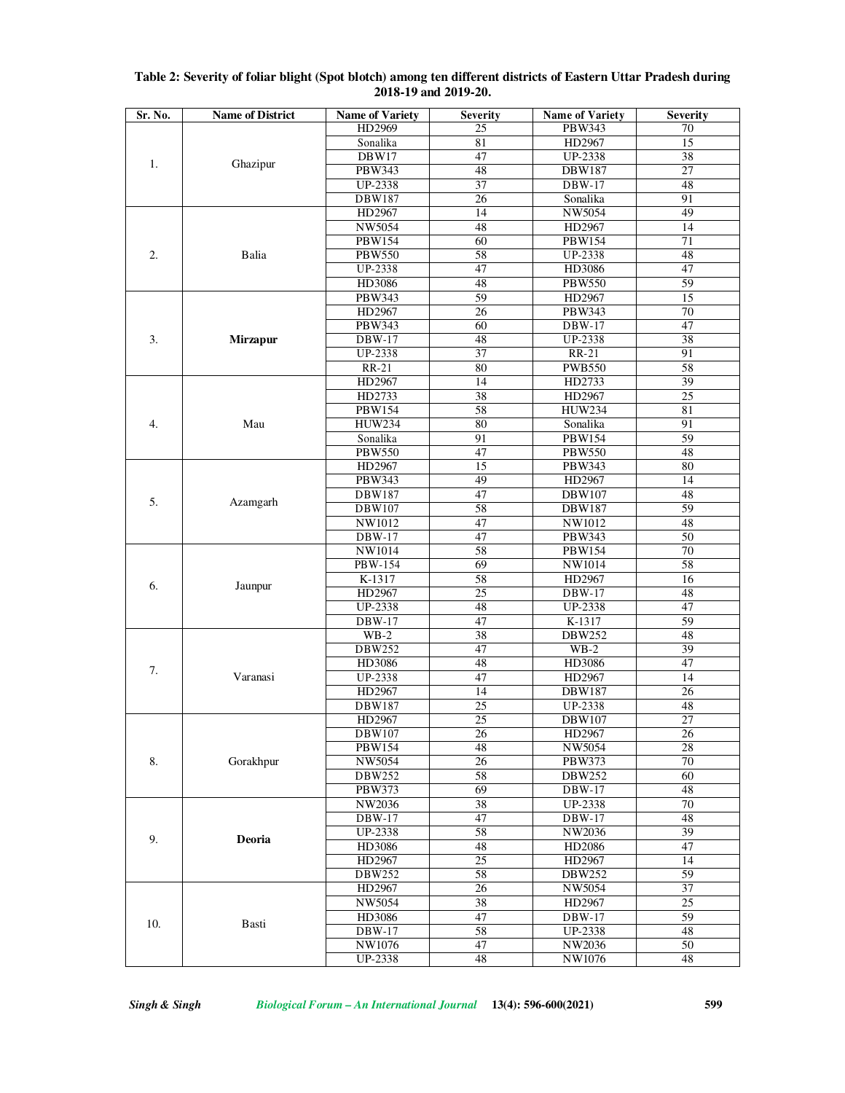| Sr. No. | <b>Name of District</b> | <b>Name of Variety</b> | <b>Severity</b> | <b>Name of Variety</b>   | <b>Severity</b> |
|---------|-------------------------|------------------------|-----------------|--------------------------|-----------------|
|         |                         | HD2969                 | 25              | PBW343                   | 70              |
|         |                         | Sonalika               | 81              | HD2967                   | 15              |
|         |                         | DBW17                  | 47              | UP-2338                  | 38              |
| 1.      | Ghazipur                | PBW343                 | 48              | <b>DBW187</b>            | 27              |
|         |                         | <b>UP-2338</b>         | 37              | DBW-17                   | 48              |
|         |                         | DBW187                 | 26              | Sonalika                 | 91              |
|         |                         | HD2967                 | 14              | NW5054                   | 49              |
|         |                         | NW5054                 | 48              | HD2967                   | 14              |
|         | Balia                   | PBW154                 | 60              | PBW154                   | 71              |
| 2.      |                         | <b>PBW550</b>          | 58              | UP-2338                  | 48              |
|         |                         | UP-2338                | 47              | HD3086                   | 47              |
|         |                         | HD3086                 | 48              | PBW550                   | 59              |
|         |                         | PBW343                 | 59              | HD2967                   | 15              |
|         |                         | HD2967                 | 26              | PBW343                   | 70              |
|         | <b>Mirzapur</b>         | PBW343                 | 60              | <b>DBW-17</b>            | 47              |
| 3.      |                         | DBW-17                 | 48              | UP-2338                  | 38              |
|         |                         | <b>UP-2338</b>         | 37              | $RR-21$                  | 91              |
|         |                         | <b>RR-21</b>           | 80              | <b>PWB550</b>            | 58              |
|         |                         | HD2967                 | 14              | HD2733                   | 39              |
|         |                         | HD2733                 | 38              | HD2967                   | $\overline{25}$ |
|         |                         | PBW154                 | 58              | <b>HUW234</b>            | 81              |
| 4.      | Mau                     | <b>HUW234</b>          | 80              | Sonalika                 | 91              |
|         |                         | Sonalika               | 91              | <b>PBW154</b>            | 59              |
|         |                         | <b>PBW550</b>          | 47              | <b>PBW550</b>            | 48              |
|         |                         | HD2967                 | 15              | PBW343                   | 80              |
|         |                         | PBW343                 | 49              | HD2967                   | 14              |
|         |                         | <b>DBW187</b>          | 47              | DBW107                   | 48              |
| 5.      | Azamgarh                | DBW107                 | 58              | <b>DBW187</b>            | 59              |
|         |                         | NW1012                 | 47              | NW1012                   | 48              |
|         |                         | DBW-17                 | 47              | PBW343                   | 50              |
|         |                         | NW1014                 | 58              | PBW154                   | 70              |
|         | Jaunpur                 | PBW-154                | 69              | NW1014                   | 58              |
|         |                         | K-1317                 | 58              | HD2967                   | $\overline{16}$ |
| 6.      |                         | HD2967                 | 25              | $DBW-17$                 | 48              |
|         |                         |                        | 48              |                          | 47              |
|         |                         | UP-2338<br>DBW-17      | 47              | UP-2338<br>K-1317        | 59              |
|         |                         | $WB-2$                 | 38              | <b>DBW252</b>            | 48              |
|         | Varanasi                | DBW252                 | 47              | $WB-2$                   | 39              |
| 7.      |                         | HD3086                 | 48              | HD3086                   | 47              |
|         |                         | UP-2338                | 47              | HD2967                   | 14              |
|         |                         |                        |                 |                          |                 |
|         |                         | HD2967<br>DBW187       | 14              | <b>DBW187</b>            | 26              |
|         |                         | HD2967                 | 25<br>25        | UP-2338<br><b>DBW107</b> | 48<br>27        |
| 8.      | Gorakhpur               | DBW107                 |                 |                          |                 |
|         |                         | <b>PBW154</b>          | 26<br>48        | HD2967<br>NW5054         | 26<br>28        |
|         |                         | NW5054                 | 26              | PBW373                   | 70              |
|         |                         | DBW252                 | 58              | <b>DBW252</b>            | 60              |
|         |                         | PBW373                 |                 | DBW-17                   |                 |
|         |                         | NW2036                 | 69<br>38        | <b>UP-2338</b>           | 48<br>70        |
| 9.      |                         |                        | 47              | $DBW-17$                 | 48              |
|         | Deoria                  | <b>DBW-17</b>          |                 |                          |                 |
|         |                         | UP-2338                | 58              | NW2036                   | 39              |
|         |                         | HD3086                 | 48              | HD2086                   | 47              |
|         |                         | HD2967                 | 25              | HD2967                   | 14              |
|         |                         | DBW252                 | 58              | <b>DBW252</b>            | 59              |
|         |                         | HD2967                 | 26              | NW5054                   | 37              |
| 10.     |                         | NW5054                 | 38              | HD2967                   | 25              |
|         | Basti                   | HD3086                 | 47              | $DBW-17$                 | 59              |
|         |                         | <b>DBW-17</b>          | 58              | <b>UP-2338</b>           | 48              |
|         |                         | NW1076                 | 47              | NW2036                   | 50              |
|         |                         | UP-2338                | 48              | NW1076                   | 48              |

### **Table 2: Severity of foliar blight (Spot blotch) among ten different districts of Eastern Uttar Pradesh during 2018-19 and 2019-20.**